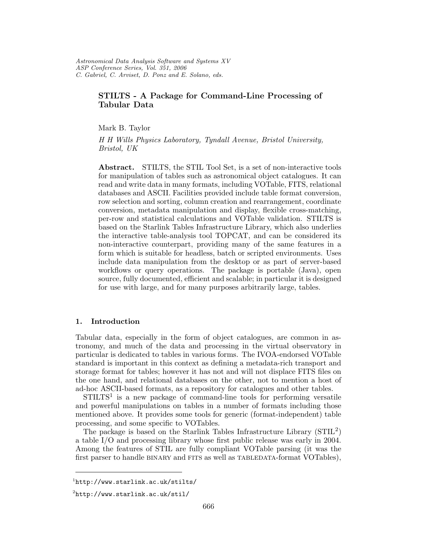# STILTS - A Package for Command-Line Processing of Tabular Data

Mark B. Taylor

H H Wills Physics Laboratory, Tyndall Avenue, Bristol University, Bristol, UK

Abstract. STILTS, the STIL Tool Set, is a set of non-interactive tools for manipulation of tables such as astronomical object catalogues. It can read and write data in many formats, including VOTable, FITS, relational databases and ASCII. Facilities provided include table format conversion, row selection and sorting, column creation and rearrangement, coordinate conversion, metadata manipulation and display, flexible cross-matching, per-row and statistical calculations and VOTable validation. STILTS is based on the Starlink Tables Infrastructure Library, which also underlies the interactive table-analysis tool TOPCAT, and can be considered its non-interactive counterpart, providing many of the same features in a form which is suitable for headless, batch or scripted environments. Uses include data manipulation from the desktop or as part of server-based workflows or query operations. The package is portable (Java), open source, fully documented, efficient and scalable; in particular it is designed for use with large, and for many purposes arbitrarily large, tables.

### 1. Introduction

Tabular data, especially in the form of object catalogues, are common in astronomy, and much of the data and processing in the virtual observatory in particular is dedicated to tables in various forms. The IVOA-endorsed VOTable standard is important in this context as defining a metadata-rich transport and storage format for tables; however it has not and will not displace FITS files on the one hand, and relational databases on the other, not to mention a host of ad-hoc ASCII-based formats, as a repository for catalogues and other tables.

 $STILTS<sup>1</sup>$  is a new package of command-line tools for performing versatile and powerful manipulations on tables in a number of formats including those mentioned above. It provides some tools for generic (format-independent) table processing, and some specific to VOTables.

The package is based on the Starlink Tables Infrastructure Library  $(STIL<sup>2</sup>)$ a table I/O and processing library whose first public release was early in 2004. Among the features of STIL are fully compliant VOTable parsing (it was the first parser to handle BINARY and FITS as well as TABLEDATA-format VOTables),

<sup>1</sup>http://www.starlink.ac.uk/stilts/

<sup>2</sup>http://www.starlink.ac.uk/stil/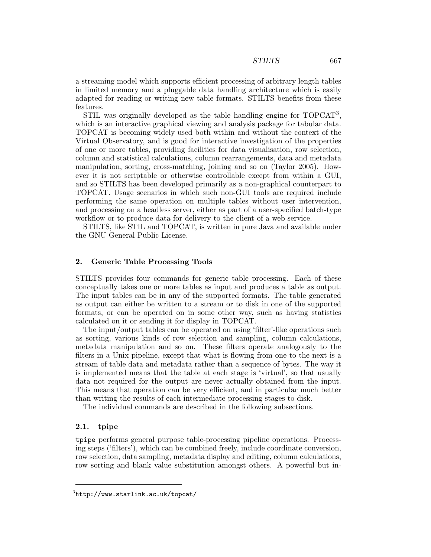a streaming model which supports efficient processing of arbitrary length tables in limited memory and a pluggable data handling architecture which is easily adapted for reading or writing new table formats. STILTS benefits from these features.

STIL was originally developed as the table handling engine for TOPCAT<sup>3</sup>, which is an interactive graphical viewing and analysis package for tabular data. TOPCAT is becoming widely used both within and without the context of the Virtual Observatory, and is good for interactive investigation of the properties of one or more tables, providing facilities for data visualisation, row selection, column and statistical calculations, column rearrangements, data and metadata manipulation, sorting, cross-matching, joining and so on (Taylor 2005). However it is not scriptable or otherwise controllable except from within a GUI, and so STILTS has been developed primarily as a non-graphical counterpart to TOPCAT. Usage scenarios in which such non-GUI tools are required include performing the same operation on multiple tables without user intervention, and processing on a headless server, either as part of a user-specified batch-type workflow or to produce data for delivery to the client of a web service.

STILTS, like STIL and TOPCAT, is written in pure Java and available under the GNU General Public License.

#### 2. Generic Table Processing Tools

STILTS provides four commands for generic table processing. Each of these conceptually takes one or more tables as input and produces a table as output. The input tables can be in any of the supported formats. The table generated as output can either be written to a stream or to disk in one of the supported formats, or can be operated on in some other way, such as having statistics calculated on it or sending it for display in TOPCAT.

The input/output tables can be operated on using 'filter'-like operations such as sorting, various kinds of row selection and sampling, column calculations, metadata manipulation and so on. These filters operate analogously to the filters in a Unix pipeline, except that what is flowing from one to the next is a stream of table data and metadata rather than a sequence of bytes. The way it is implemented means that the table at each stage is 'virtual', so that usually data not required for the output are never actually obtained from the input. This means that operation can be very efficient, and in particular much better than writing the results of each intermediate processing stages to disk.

The individual commands are described in the following subsections.

#### 2.1. tpipe

tpipe performs general purpose table-processing pipeline operations. Processing steps ('filters'), which can be combined freely, include coordinate conversion, row selection, data sampling, metadata display and editing, column calculations, row sorting and blank value substitution amongst others. A powerful but in-

<sup>3</sup>http://www.starlink.ac.uk/topcat/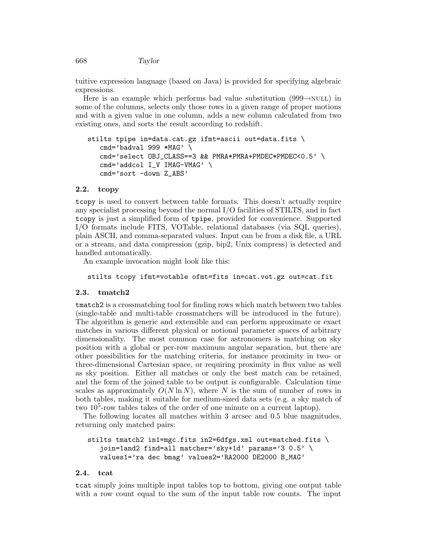668 Taylor

tuitive expression language (based on Java) is provided for specifying algebraic expressions.

Here is an example which performs bad value substitution  $(999 \rightarrow \text{NULL})$  in some of the columns, selects only those rows in a given range of proper motions and with a given value in one column, adds a new column calculated from two existing ones, and sorts the result according to redshift.

```
stilts tpipe in=data.cat.gz ifmt=ascii out=data.fits \
cmd='badval 999 *MAG' \
cmd='select OBJ_CLASS==3 && PMRA*PMRA+PMDEC*PMDEC<0.5' \
cmd='addcol I_V IMAG-VMAG' \
cmd='sort -down Z_ABS'
```
### 2.2. tcopy

tcopy is used to convert between table formats. This doesn't actually require any specialist processing beyond the normal I/O facilities of STILTS, and in fact tcopy is just a simplified form of tpipe, provided for convenience. Supported I/O formats include FITS, VOTable, relational databases (via SQL queries), plain ASCII, and comma-separated values. Input can be from a disk file, a URL or a stream, and data compression (gzip, bip2, Unix compress) is detected and handled automatically.

An example invocation might look like this:

stilts tcopy ifmt=votable ofmt=fits in=cat.vot.gz out=cat.fit

### 2.3. tmatch2

tmatch2 is a crossmatching tool for finding rows which match between two tables (single-table and multi-table crossmatchers will be introduced in the future). The algorithm is generic and extensible and can perform approximate or exact matches in various different physical or notional parameter spaces of arbitrary dimensionality. The most common case for astronomers is matching on sky position with a global or per-row maximum angular separation, but there are other possibilities for the matching criteria, for instance proximity in two- or three-dimensional Cartesian space, or requiring proximity in flux value as well as sky position. Either all matches or only the best match can be retained, and the form of the joined table to be output is configurable. Calculation time scales as approximately  $O(N \ln N)$ , where N is the sum of number of rows in both tables, making it suitable for medium-sized data sets (e.g. a sky match of two 10<sup>5</sup>-row tables takes of the order of one minute on a current laptop).

The following locates all matches within 3 arcsec and 0.5 blue magnitudes, returning only matched pairs:

```
stilts tmatch2 in1=mgc.fits in2=6dfgs.xml out=matched.fits \
 join=1and2 find=all matcher='sky+1d' params='3 0.5' \
values1='ra dec bmag' values2='RA2000 DE2000 B_MAG'
```
#### 2.4. tcat

tcat simply joins multiple input tables top to bottom, giving one output table with a row count equal to the sum of the input table row counts. The input